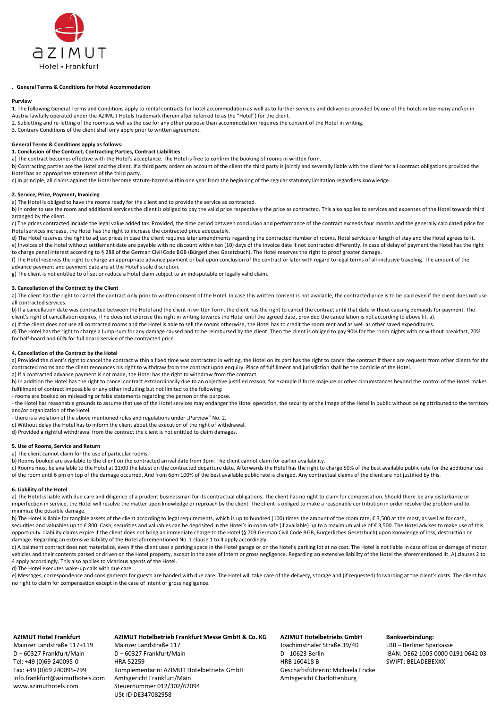

## . **General Terms & Conditions for Hotel Accommodation**

#### **Purview**

1. The following General Terms and Conditions apply to rental contracts for hotel accommodation as well as to further services and deliveries provided by one of the hotels in Germany and \or in Austria lawfully operated under the AZIMUT Hotels trademark (herein after referred to as the "Hotel") for the client.

- 2. Subletting and re-letting of the rooms as well as the use for any other purpose than accommodation requires the consent of the Hotel in writing.
- 3. Contrary Conditions of the client shall only apply prior to written agreement.

# **General Terms & Conditions apply as follows:**

# **1. Conclusion of the Contract, Contracting Parties, Contract Liabilities**

a) The contract becomes effective with the Hotel's acceptance. The Hotel is free to confirm the booking of rooms in written form.

b) Contracting parties are the Hotel and the client. If a third party orders on account of the client the third party is jointly and severally liable with the client for all contract obligations provided the Hotel has an appropriate statement of the third party.

c) In principle, all claims against the Hotel become statute-barred within one year from the beginning of the regular statutory limitation regardless knowledge.

#### **2. Service, Price, Payment, Invoicing**

a) The Hotel is obliged to have the rooms ready for the client and to provide the service as contracted.

b) In order to use the room and additional services the client is obliged to pay the valid price respectively the price as contracted. This also applies to services and expenses of the Hotel towards third arranged by the client.

c) The prices contracted include the legal value added tax. Provided, the time period between conclusion and performance of the contract exceeds four months and the generally calculated price for Hotel services increase, the Hotel has the right to increase the contracted price adequately.

d) The Hotel reserves the right to adjust prices in case the client requires later amendments regarding the contracted number of rooms, Hotel services or length of stay and the Hotel agrees to it. e) Invoices of the Hotel without settlement date are payable with no discount within ten (10) days of the invoice date if not contracted differently. In case of delay of payment the Hotel has the right to charge penal interest according to § 288 of the German Civil Code BGB (Bürgerliches Gesetzbuch). The Hotel reserves the right to proof greater damage.

f) The Hotel reserves the right to charge an appropriate advance payment or bail upon conclusion of the contract or later with regard to legal terms of all-inclusive traveling. The amount of the advance payment and payment date are at the Hotel's sole discretion.

g) The client is not entitled to offset or reduce a Hotel claim subject to an indisputable or legally valid claim.

#### **3. Cancellation of the Contract by the Client**

a) The client has the right to cancel the contract only prior to written consent of the Hotel. In case this written consent is not available, the contracted price is to be paid even if the client does not use all contracted services.

b) If a cancellation date was contracted between the Hotel and the client in written form, the client has the right to cancel the contract until that date without causing demands for payment. The client's right of cancellation expires, if he does not exercise this right in writing towards the Hotel until the agreed date, provided the cancellation is not according to above lit. a).

c) If the client does not use all contracted rooms and the Hotel is able to sell the rooms otherwise, the Hotel has to credit the room rent and as well as other saved expenditures.

d) The Hotel has the right to charge a lump-sum for any damage caused and to be reimbursed by the client. Then the client is obliged to pay 90% for the room nights with or without breakfast, 70% for half-board and 60% for full board service of the contracted price.

## **4. Cancellation of the Contract by the Hotel**

a) Provided the client's right to cancel the contract within a fixed time was contracted in writing, the Hotel on its part has the right to cancel the contract if there are requests from other clients for the contracted rooms and the client renounces his right to withdraw from the contract upon enquiry. Place of fulfillment and jurisdiction shall be the domicile of the Hotel. a) If a contracted advance payment is not made, the Hotel has the right to withdraw from the contract.

b) In addition the Hotel has the right to cancel contract extraordinarily due to an objective justified reason, for example if force majeure or other circumstances beyond the control of the Hotel makes fulfillment of contract impossible or any other including but not limited to the following:

- rooms are booked on misleading or false statements regarding the person or the purpose.

- the Hotel has reasonable grounds to assume that use of the Hotel services may endanger the Hotel operation, the security or the image of the Hotel in public without being attributed to the territory and/or organization of the Hotel.

- there is a violation of the above mentioned rules and regulations under "Purview" No. 2.

c) Without delay the Hotel has to inform the client about the execution of the right of withdrawal.

d) Provided a rightful withdrawal from the contract the client is not entitled to claim damages.

# **5. Use of Rooms, Service and Return**

a) The client cannot claim for the use of particular rooms.

b) Rooms booked are available to the client on the contracted arrival date from 3pm. The client cannot claim for earlier availability.

c) Rooms must be available to the Hotel at 11:00 the latest on the contracted departure date. Afterwards the Hotel has the right to charge 50% of the best available public rate for the additional use of the room until 6 pm on top of the damage occurred. And from 6pm 100% of the best available public rate is charged. Any contractual claims of the client are not justified by this.

#### **6. Liability of the Hotel**

a) The Hotel is liable with due care and diligence of a prudent businessman for its contractual obligations. The client has no right to claim for compensation. Should there be any disturbance or imperfection in service, the Hotel will resolve the matter upon knowledge or reproach by the client. The client is obliged to make a reasonable contribution in order resolve the problem and to minimize the possible damage.

b) The Hotel is liable for tangible assets of the client according to legal requirements, which is up to hundred (100) times the amount of the room rate, € 3,500 at the most, as well as for cash, securities and valuables up to €800. Cash, securities and valuables can be deposited in the Hotel's in-room safe (if available) up to a maximum value of € 3,500. The Hotel advises to make use of this opportunity. Liability claims expire if the client does not bring an immediate charge to the Hotel (§ 703 German Civil Code BGB, Bürgerliches Gesetzbuch) upon knowledge of loss, destruction or damage. Regarding an extensive liability of the Hotel aforementioned No. 1 clause 1 to 4 apply accordingly.

c) A bailment contract does not materialize, even if the client uses a parking space in the Hotel garage or on the Hotel's parking lot at no cost. The Hotel is not liable in case of loss or damage of motor vehicles and their contents parked or driven on the Hotel property, except in the case of intent or gross negligence. Regarding an extensive liability of the Hotel the aforementioned lit. A) clauses 2 to 4 apply accordingly. This also applies to vicarious agents of the Hotel.

d) The Hotel executes wake-up calls with due care.

e) Messages, correspondence and consignments for guests are handed with due care. The Hotel will take care of the delivery, storage and (if requested) forwarding at the client's costs. The client has no right to claim for compensation except in the case of intent or gross negligence.

#### **AZIMUT Hotel Frankfurt**

Mainzer Landstraße 117+119 D – 60327 Frankfurt/Main Tel: +49 (0)69 240095-0 Fax: +49 (0)69 240095-799 info.frankfurt@azimuthotels.com www.azimuthotels.com

# **AZIMUT Hotelbetrieb Frankfurt Messe GmbH & Co. KG** Mainzer Landstraße 117 D – 60327 Frankfurt/Main HRA 52259 Komplementärin: AZIMUT Hotelbetriebs GmbH

Amtsgericht Frankfurt/Main Steuernummer 012/302/62094 USt-ID DE347082958

**AZIMUT Hotelbetriebs GmbH** Joachimsthaler Straße 39/40 D - 10623 Berlin HRB 160418 B Geschäftsführerin: Michaela Fricke Amtsgericht Charlottenburg

#### **Bankverbindung:**

LBB – Berliner Sparkasse IBAN: DE62 1005 0000 0191 0642 03 SWIFT: BELADEBEXXX